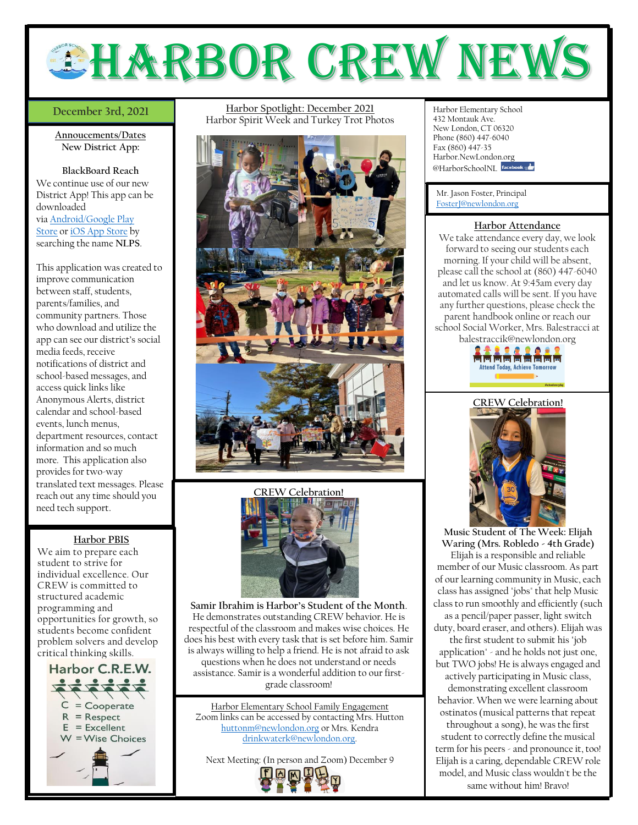

## December 3rd, 2021

**Annoucements/Dates New District App:**

**BlackBoard Reach** We continue use of our new District App! This app can be downloaded via [Android/Google](https://play.google.com/store/apps/details?id=com.blackboard.community.newlondonct) Play [Store](https://play.google.com/store/apps/details?id=com.blackboard.community.newlondonct) or iOS App [Store](https://apps.apple.com/us/app/new-london-public-schools/id1585707318) by searching the name **NLPS**.

This application was created to improve communication between staff, students, parents/families, and community partners. Those who download and utilize the app can see our district's social media feeds, receive notifications of district and school-based messages, and access quick links like Anonymous Alerts, district calendar and school-based events, lunch menus, department resources, contact information and so much more. This application also provides for two-way translated text messages. Please reach out any time should you need tech support.

## **Harbor PBIS**

We aim to prepare each student to strive for individual excellence. Our CREW is committed to structured academic programming and opportunities for growth, so students become confident problem solvers and develop critical thinking skills.



**December 3rd, 2021 Harbor Spotlight: December 2021** Harbor Elementary School Harbor Spirit Week and Turkey Trot Photos





**Samir Ibrahim is Harbor's Student of the Month**. He demonstrates outstanding CREW behavior. He is respectful of the classroom and makes wise choices. He does his best with every task that is set before him. Samir is always willing to help a friend. He is not afraid to ask questions when he does not understand or needs assistance. Samir is a wonderful addition to our firstgrade classroom!

Harbor Elementary School Family Engagement Zoom links can be accessed by contacting Mrs. Hutton [huttonm@newlondon.org](mailto:huttonm@newlondon.org) or Mrs. Kendra [drinkwaterk@newlondon.org.](mailto:drinkwaterk@newlondon.org)

Next Meeting: (In person and Zoom) December 9



432 Montauk Ave. New London, CT 06320 Phone (860) 447-6040 Fax (860) 447-35 Harbor.NewLondon.org @HarborSchoolNL facebook

Mr. Jason Foster, Principal [FosterJ@newlondon.org](mailto:FosterJ@newlondon.org)

## **Harbor Attendance**

We take attendance every day, we look forward to seeing our students each morning. If your child will be absent, please call the school at (860) 447-6040 and let us know. At 9:45am every day automated calls will be sent. If you have any further questions, please check the parent handbook online or reach our school Social Worker, Mrs. Balestracci at balestraccik@newlondon.org





**Music Student of The Week: Elijah Waring (Mrs. Robledo - 4th Grade)** Elijah is a responsible and reliable member of our Music classroom. As part of our learning community in Music, each class has assigned "jobs" that help Music class to run smoothly and efficiently (such as a pencil/paper passer, light switch duty, board eraser, and others). Elijah was the first student to submit his "job application" - and he holds not just one, but TWO jobs! He is always engaged and actively participating in Music class, demonstrating excellent classroom behavior. When we were learning about ostinatos (musical patterns that repeat throughout a song), he was the first student to correctly define the musical term for his peers - and pronounce it, too! Elijah is a caring, dependable CREW role model, and Music class wouldn't be the same without him! Bravo!